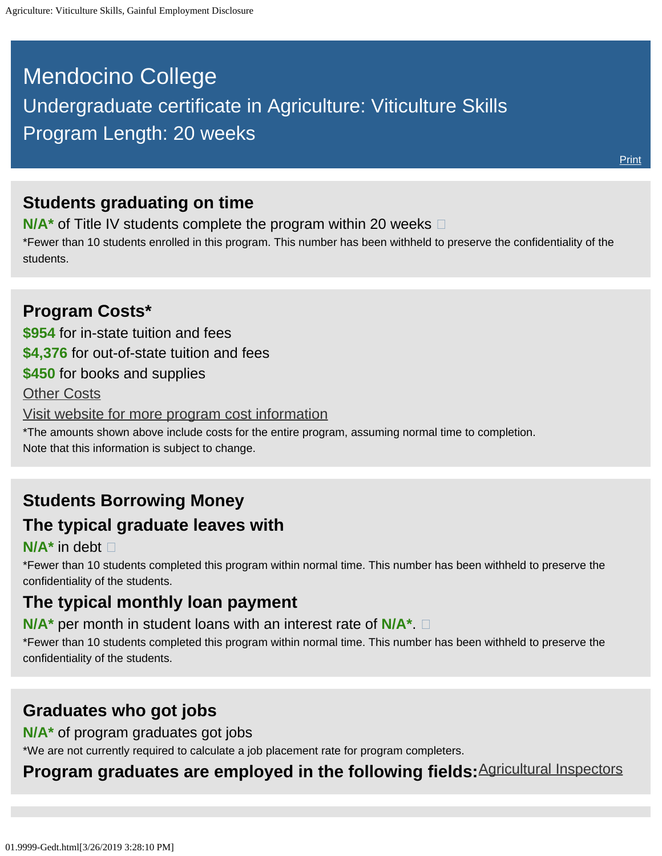# <span id="page-0-0"></span>Mendocino College Undergraduate certificate in Agriculture: Viticulture Skills Program Length: 20 weeks

#### **Students graduating on time**

**N/A<sup>\*</sup>** of Title IV students complete the program within 20 weeks  $\Box$ 

\*Fewer than 10 students enrolled in this program. This number has been withheld to preserve the confidentiality of the students.

#### **Program Costs\* \$954** for in-state tuition and fees **\$4,376** for out-of-state tuition and fees **\$450** for books and supplies [Other Costs](#page-0-0) [Visit website for more program cost information](https://www.mendocino.edu/program/agriculture-viticulture-skills) \*The amounts shown above include costs for the entire program, assuming normal time to completion. Note that this information is subject to change.

## **Students Borrowing Money The typical graduate leaves with**

#### **N/A\*** in debt

\*Fewer than 10 students completed this program within normal time. This number has been withheld to preserve the confidentiality of the students.

## **The typical monthly loan payment**

**N/A\*** per month in student loans with an interest rate of **N/A\***.

\*Fewer than 10 students completed this program within normal time. This number has been withheld to preserve the confidentiality of the students.

#### **Graduates who got jobs**

**N/A\*** of program graduates got jobs

\*We are not currently required to calculate a job placement rate for program completers.

#### **Program graduates are employed in the following fields:**[Agricultural Inspectors](http://online.onetcenter.org/link/summary/45-2011.00)